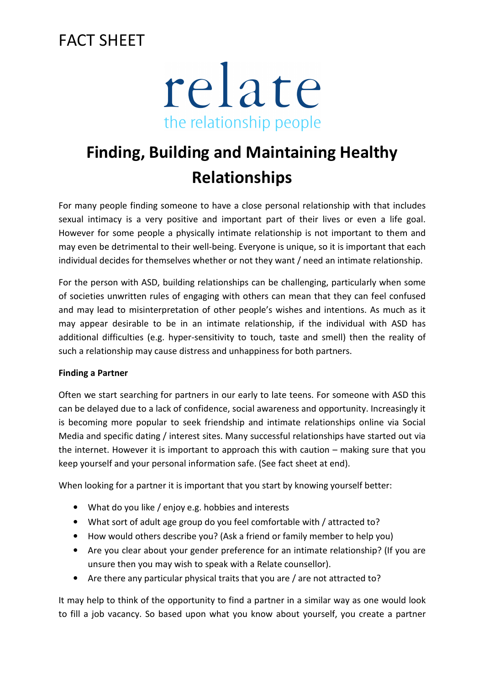### FACT SHEET



# **Finding, Building and Maintaining Healthy Relationships**

For many people finding someone to have a close personal relationship with that includes sexual intimacy is a very positive and important part of their lives or even a life goal. However for some people a physically intimate relationship is not important to them and may even be detrimental to their well-being. Everyone is unique, so it is important that each individual decides for themselves whether or not they want / need an intimate relationship.

For the person with ASD, building relationships can be challenging, particularly when some of societies unwritten rules of engaging with others can mean that they can feel confused and may lead to misinterpretation of other people's wishes and intentions. As much as it may appear desirable to be in an intimate relationship, if the individual with ASD has additional difficulties (e.g. hyper-sensitivity to touch, taste and smell) then the reality of such a relationship may cause distress and unhappiness for both partners.

#### **Finding a Partner**

Often we start searching for partners in our early to late teens. For someone with ASD this can be delayed due to a lack of confidence, social awareness and opportunity. Increasingly it is becoming more popular to seek friendship and intimate relationships online via Social Media and specific dating / interest sites. Many successful relationships have started out via the internet. However it is important to approach this with caution – making sure that you keep yourself and your personal information safe. (See fact sheet at end).

When looking for a partner it is important that you start by knowing yourself better:

- What do you like / enjoy e.g. hobbies and interests
- What sort of adult age group do you feel comfortable with / attracted to?
- How would others describe you? (Ask a friend or family member to help you)
- Are you clear about your gender preference for an intimate relationship? (If you are unsure then you may wish to speak with a Relate counsellor).
- Are there any particular physical traits that you are / are not attracted to?

It may help to think of the opportunity to find a partner in a similar way as one would look to fill a job vacancy. So based upon what you know about yourself, you create a partner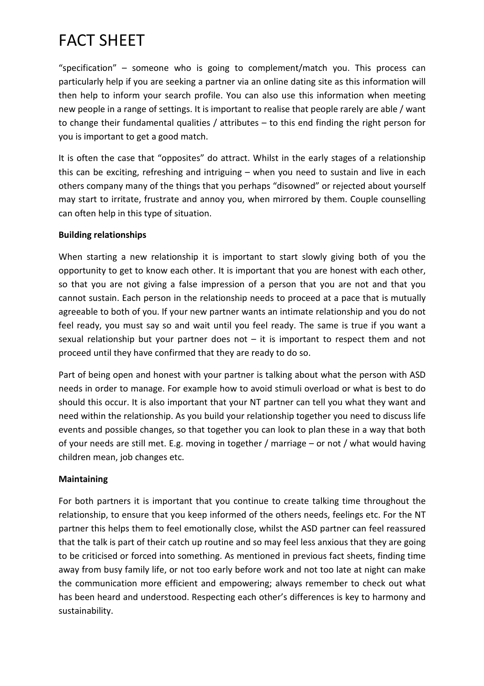## FACT SHEET

"specification" – someone who is going to complement/match you. This process can particularly help if you are seeking a partner via an online dating site as this information will then help to inform your search profile. You can also use this information when meeting new people in a range of settings. It is important to realise that people rarely are able / want to change their fundamental qualities / attributes – to this end finding the right person for you is important to get a good match.

It is often the case that "opposites" do attract. Whilst in the early stages of a relationship this can be exciting, refreshing and intriguing – when you need to sustain and live in each others company many of the things that you perhaps "disowned" or rejected about yourself may start to irritate, frustrate and annoy you, when mirrored by them. Couple counselling can often help in this type of situation.

#### **Building relationships**

When starting a new relationship it is important to start slowly giving both of you the opportunity to get to know each other. It is important that you are honest with each other, so that you are not giving a false impression of a person that you are not and that you cannot sustain. Each person in the relationship needs to proceed at a pace that is mutually agreeable to both of you. If your new partner wants an intimate relationship and you do not feel ready, you must say so and wait until you feel ready. The same is true if you want a sexual relationship but your partner does not  $-$  it is important to respect them and not proceed until they have confirmed that they are ready to do so.

Part of being open and honest with your partner is talking about what the person with ASD needs in order to manage. For example how to avoid stimuli overload or what is best to do should this occur. It is also important that your NT partner can tell you what they want and need within the relationship. As you build your relationship together you need to discuss life events and possible changes, so that together you can look to plan these in a way that both of your needs are still met. E.g. moving in together / marriage – or not / what would having children mean, job changes etc.

#### **Maintaining**

For both partners it is important that you continue to create talking time throughout the relationship, to ensure that you keep informed of the others needs, feelings etc. For the NT partner this helps them to feel emotionally close, whilst the ASD partner can feel reassured that the talk is part of their catch up routine and so may feel less anxious that they are going to be criticised or forced into something. As mentioned in previous fact sheets, finding time away from busy family life, or not too early before work and not too late at night can make the communication more efficient and empowering; always remember to check out what has been heard and understood. Respecting each other's differences is key to harmony and sustainability.